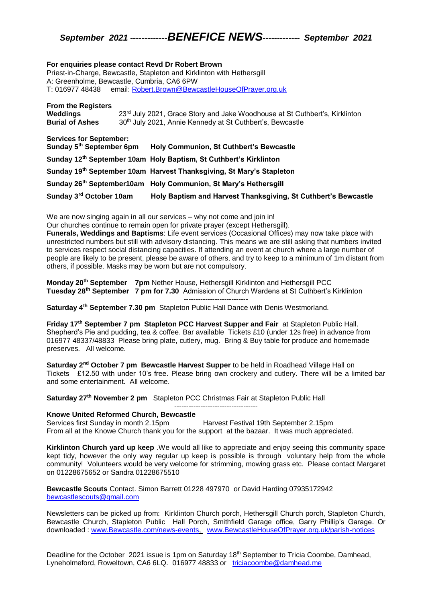## *September 2021 -------------BENEFICE NEWS------------- September 2021*

#### **For enquiries please contact Revd Dr Robert Brown**

Priest-in-Charge, Bewcastle, Stapleton and Kirklinton with Hethersgill A: Greenholme, Bewcastle, Cumbria, CA6 6PW T: 016977 48438 email: [Robert.Brown@BewcastleHouseOfPrayer.org.uk](mailto:Robert.Brown@BewcastleHouseOfPrayer.org.uk)

| <b>From the Registers</b><br>Weddings<br><b>Burial of Ashes</b> | $23rd$ July 2021, Grace Story and Jake Woodhouse at St Cuthbert's, Kirklinton<br>30 <sup>th</sup> July 2021, Annie Kennedy at St Cuthbert's, Bewcastle |
|-----------------------------------------------------------------|--------------------------------------------------------------------------------------------------------------------------------------------------------|
| <b>Services for Sentember:</b>                                  |                                                                                                                                                        |

| Sunday 5 <sup>th</sup> September 6pm | <b>Holy Communion, St Cuthbert's Bewcastle</b>                                |
|--------------------------------------|-------------------------------------------------------------------------------|
|                                      | Sunday 12 <sup>th</sup> September 10am Holy Baptism, St Cuthbert's Kirklinton |
|                                      | Sunday 19th September 10am Harvest Thanksgiving, St Mary's Stapleton          |
|                                      | Sunday 26th September10am Holy Communion, St Mary's Hethersgill               |
| Sunday 3 <sup>rd</sup> October 10am  | Holy Baptism and Harvest Thanksgiving, St Cuthbert's Bewcastle                |

We are now singing again in all our services – why not come and join in!

Our churches continue to remain open for private prayer (except Hethersgill).

**Funerals, Weddings and Baptisms**: Life event services (Occasional Offices) may now take place with unrestricted numbers but still with advisory distancing. This means we are still asking that numbers invited to services respect social distancing capacities. If attending an event at church where a large number of people are likely to be present, please be aware of others, and try to keep to a minimum of 1m distant from others, if possible. Masks may be worn but are not compulsory.

**Monday 20th September 7pm** Nether House, Hethersgill Kirklinton and Hethersgill PCC **Tuesday 28th September 7 pm for 7.30** Admission of Church Wardens at St Cuthbert's Kirklinton **---------------------------**

**Saturday 4th September 7.30 pm** Stapleton Public Hall Dance with Denis Westmorland.

**Friday 17th September 7 pm Stapleton PCC Harvest Supper and Fair** at Stapleton Public Hall. Shepherd's Pie and pudding, tea & coffee. Bar available Tickets £10 (under 12s free) in advance from 016977 48337/48833 Please bring plate, cutlery, mug. Bring & Buy table for produce and homemade preserves. All welcome.

**Saturday 2nd October 7 pm Bewcastle Harvest Supper** to be held in Roadhead Village Hall on Tickets £12.50 with under 10's free. Please bring own crockery and cutlery. There will be a limited bar and some entertainment. All welcome.

-----------------------------------

**Saturday 27th November 2 pm** Stapleton PCC Christmas Fair at Stapleton Public Hall

### **Knowe United Reformed Church, Bewcastle**

Services first Sunday in month 2.15pm Harvest Festival 19th September 2.15pm From all at the Knowe Church thank you for the support at the bazaar. It was much appreciated.

**Kirklinton Church yard up keep** .We would all like to appreciate and enjoy seeing this community space kept tidy, however the only way regular up keep is possible is through voluntary help from the whole community! Volunteers would be very welcome for strimming, mowing grass etc. Please contact Margaret on 01228675652 or Sandra 01228675510

**Bewcastle Scouts** Contact. Simon Barrett 01228 497970 or David Harding 07935172942 [bewcastlescouts@gmail.com](mailto:bewcastlescouts@gmail.com)

Newsletters can be picked up from: Kirklinton Church porch, Hethersgill Church porch, Stapleton Church, Bewcastle Church, Stapleton Public Hall Porch, Smithfield Garage office, Garry Phillip's Garage. Or downloaded : [www.Bewcastle.com/news-events,](http://www.bewcastle.com/news-events) [www.BewcastleHouseOfPrayer.org.uk/parish-notices](http://www.bewcastlehouseofprayer.org.uk/parish-notices)

Deadline for the October 2021 issue is 1pm on Saturday 18<sup>th</sup> September to Tricia Coombe, Damhead, Lyneholmeford, Roweltown, CA6 6LQ. 016977 48833 or [triciacoombe@damhead.me](mailto:triciacoombe@damhead.me)